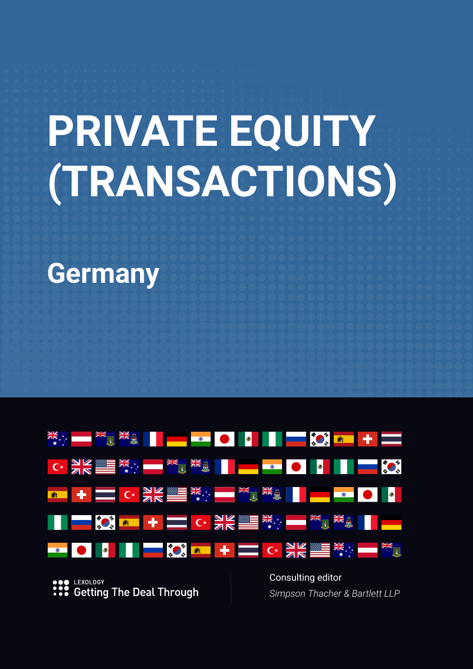# **PRIVATE EQUITY (TRANSACTIONS)**

**Germany**



LEXOLOGY **Getting The Deal Through**  Consulting editor *Simpson Thacher & Bartlett LLP*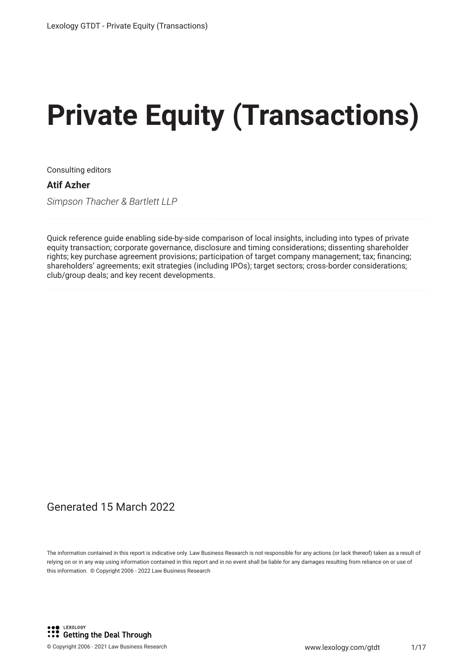# **Private Equity (Transactions)**

Consulting editors

**Atif Azher**

*Simpson Thacher & Bartlett LLP*

Quick reference guide enabling side-by-side comparison of local insights, including into types of private equity transaction; corporate governance, disclosure and timing considerations; dissenting shareholder rights; key purchase agreement provisions; participation of target company management; tax; financing; shareholders' agreements; exit strategies (including IPOs); target sectors; cross-border considerations; club/group deals; and key recent developments.

#### Generated 15 March 2022

The information contained in this report is indicative only. Law Business Research is not responsible for any actions (or lack thereof) taken as a result of relying on or in any way using information contained in this report and in no event shall be liable for any damages resulting from reliance on or use of this information. © Copyright 2006 - 2022 Law Business Research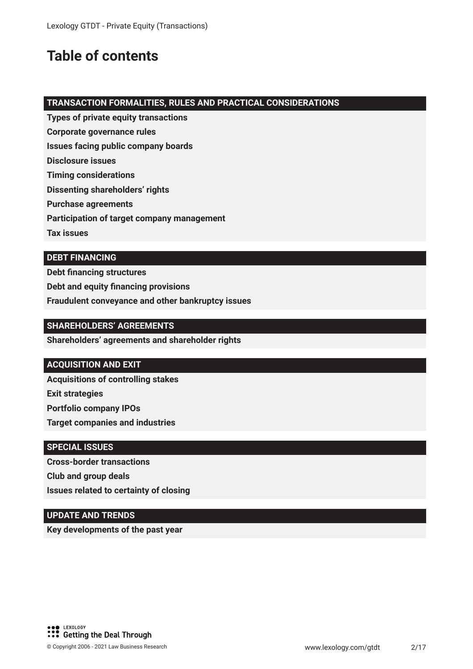## **Table of contents**

#### **TRANSACTION FORMALITIES, RULES AND PRACTICAL CONSIDERATIONS**

- **Types of private equity transactions**
- **Corporate governance rules**
- **Issues facing public company boards**
- **Disclosure issues**
- **Timing considerations**
- **Dissenting shareholders' rights**
- **Purchase agreements**
- **Participation of target company management**
- **Tax issues**

#### **DEBT FINANCING**

**Debt financing structures Debt and equity financing provisions Fraudulent conveyance and other bankruptcy issues**

#### **SHAREHOLDERS' AGREEMENTS**

**Shareholders' agreements and shareholder rights**

#### **ACQUISITION AND EXIT**

**Acquisitions of controlling stakes Exit strategies Portfolio company IPOs Target companies and industries**

#### **SPECIAL ISSUES**

**Cross-border transactions Club and group deals Issues related to certainty of closing**

#### **UPDATE AND TRENDS**

**Key developments of the past year**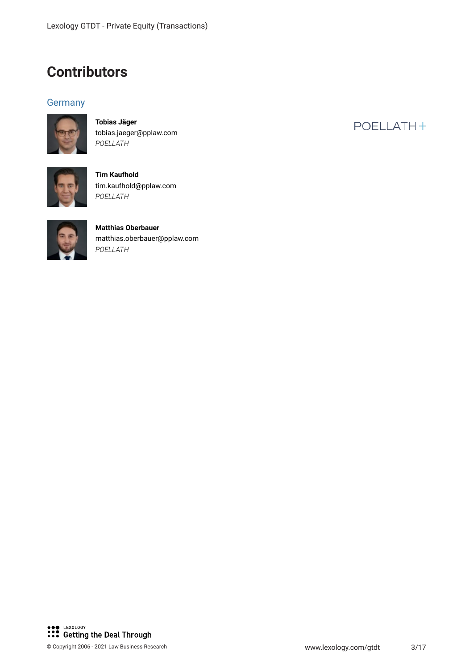### **Contributors**

#### **Germany**



**Tobias Jäger** tobias.jaeger@pplaw.com *POELLATH*



**Tim Kaufhold** tim.kaufhold@pplaw.com *POELLATH*



**Matthias Oberbauer** matthias.oberbauer@pplaw.com *POELLATH*

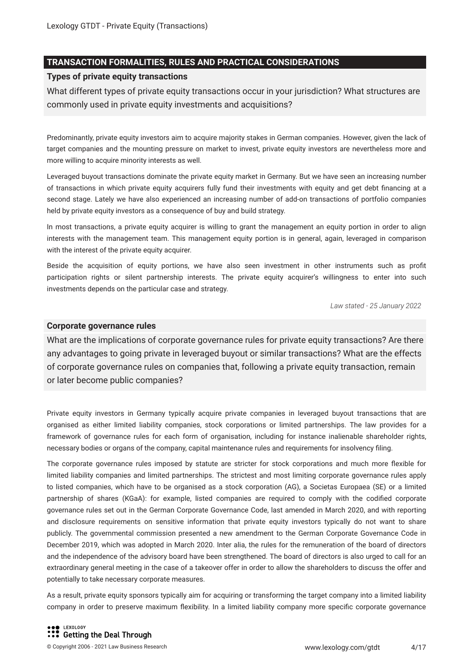#### **TRANSACTION FORMALITIES, RULES AND PRACTICAL CONSIDERATIONS**

#### **Types of private equity transactions**

What different types of private equity transactions occur in your jurisdiction? What structures are commonly used in private equity investments and acquisitions?

Predominantly, private equity investors aim to acquire majority stakes in German companies. However, given the lack of target companies and the mounting pressure on market to invest, private equity investors are nevertheless more and more willing to acquire minority interests as well.

Leveraged buyout transactions dominate the private equity market in Germany. But we have seen an increasing number of transactions in which private equity acquirers fully fund their investments with equity and get debt financing at a second stage. Lately we have also experienced an increasing number of add-on transactions of portfolio companies held by private equity investors as a consequence of buy and build strategy.

In most transactions, a private equity acquirer is willing to grant the management an equity portion in order to align interests with the management team. This management equity portion is in general, again, leveraged in comparison with the interest of the private equity acquirer.

Beside the acquisition of equity portions, we have also seen investment in other instruments such as profit participation rights or silent partnership interests. The private equity acquirer's willingness to enter into such investments depends on the particular case and strategy.

*Law stated - 25 January 2022*

#### **Corporate governance rules**

What are the implications of corporate governance rules for private equity transactions? Are there any advantages to going private in leveraged buyout or similar transactions? What are the effects of corporate governance rules on companies that, following a private equity transaction, remain or later become public companies?

Private equity investors in Germany typically acquire private companies in leveraged buyout transactions that are organised as either limited liability companies, stock corporations or limited partnerships. The law provides for a framework of governance rules for each form of organisation, including for instance inalienable shareholder rights, necessary bodies or organs of the company, capital maintenance rules and requirements for insolvency filing.

The corporate governance rules imposed by statute are stricter for stock corporations and much more flexible for limited liability companies and limited partnerships. The strictest and most limiting corporate governance rules apply to listed companies, which have to be organised as a stock corporation (AG), a Societas Europaea (SE) or a limited partnership of shares (KGaA): for example, listed companies are required to comply with the codified corporate governance rules set out in the German Corporate Governance Code, last amended in March 2020, and with reporting and disclosure requirements on sensitive information that private equity investors typically do not want to share publicly. The governmental commission presented a new amendment to the German Corporate Governance Code in December 2019, which was adopted in March 2020. Inter alia, the rules for the remuneration of the board of directors and the independence of the advisory board have been strengthened. The board of directors is also urged to call for an extraordinary general meeting in the case of a takeover offer in order to allow the shareholders to discuss the offer and potentially to take necessary corporate measures.

As a result, private equity sponsors typically aim for acquiring or transforming the target company into a limited liability company in order to preserve maximum flexibility. In a limited liability company more specific corporate governance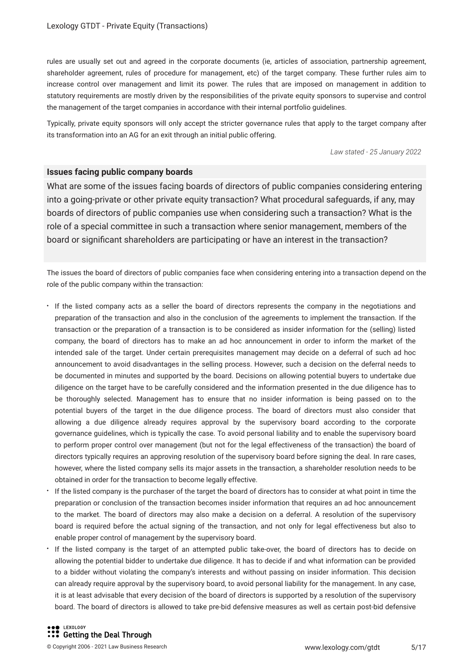rules are usually set out and agreed in the corporate documents (ie, articles of association, partnership agreement, shareholder agreement, rules of procedure for management, etc) of the target company. These further rules aim to increase control over management and limit its power. The rules that are imposed on management in addition to statutory requirements are mostly driven by the responsibilities of the private equity sponsors to supervise and control the management of the target companies in accordance with their internal portfolio guidelines.

Typically, private equity sponsors will only accept the stricter governance rules that apply to the target company after its transformation into an AG for an exit through an initial public offering.

*Law stated - 25 January 2022*

#### **Issues facing public company boards**

What are some of the issues facing boards of directors of public companies considering entering into a going-private or other private equity transaction? What procedural safeguards, if any, may boards of directors of public companies use when considering such a transaction? What is the role of a special committee in such a transaction where senior management, members of the board or significant shareholders are participating or have an interest in the transaction?

The issues the board of directors of public companies face when considering entering into a transaction depend on the role of the public company within the transaction:

- If the listed company acts as a seller the board of directors represents the company in the negotiations and preparation of the transaction and also in the conclusion of the agreements to implement the transaction. If the transaction or the preparation of a transaction is to be considered as insider information for the (selling) listed company, the board of directors has to make an ad hoc announcement in order to inform the market of the intended sale of the target. Under certain prerequisites management may decide on a deferral of such ad hoc announcement to avoid disadvantages in the selling process. However, such a decision on the deferral needs to be documented in minutes and supported by the board. Decisions on allowing potential buyers to undertake due diligence on the target have to be carefully considered and the information presented in the due diligence has to be thoroughly selected. Management has to ensure that no insider information is being passed on to the potential buyers of the target in the due diligence process. The board of directors must also consider that allowing a due diligence already requires approval by the supervisory board according to the corporate governance guidelines, which is typically the case. To avoid personal liability and to enable the supervisory board to perform proper control over management (but not for the legal effectiveness of the transaction) the board of directors typically requires an approving resolution of the supervisory board before signing the deal. In rare cases, however, where the listed company sells its major assets in the transaction, a shareholder resolution needs to be obtained in order for the transaction to become legally effective.
- If the listed company is the purchaser of the target the board of directors has to consider at what point in time the preparation or conclusion of the transaction becomes insider information that requires an ad hoc announcement to the market. The board of directors may also make a decision on a deferral. A resolution of the supervisory board is required before the actual signing of the transaction, and not only for legal effectiveness but also to enable proper control of management by the supervisory board.
- If the listed company is the target of an attempted public take-over, the board of directors has to decide on allowing the potential bidder to undertake due diligence. It has to decide if and what information can be provided to a bidder without violating the company's interests and without passing on insider information. This decision can already require approval by the supervisory board, to avoid personal liability for the management. In any case, it is at least advisable that every decision of the board of directors is supported by a resolution of the supervisory board. The board of directors is allowed to take pre-bid defensive measures as well as certain post-bid defensive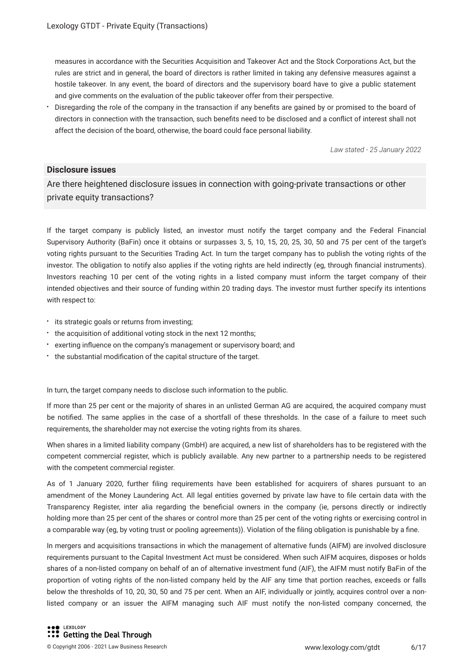measures in accordance with the Securities Acquisition and Takeover Act and the Stock Corporations Act, but the rules are strict and in general, the board of directors is rather limited in taking any defensive measures against a hostile takeover. In any event, the board of directors and the supervisory board have to give a public statement and give comments on the evaluation of the public takeover offer from their perspective.

Disregarding the role of the company in the transaction if any benefits are gained by or promised to the board of directors in connection with the transaction, such benefits need to be disclosed and a conflict of interest shall not affect the decision of the board, otherwise, the board could face personal liability.

*Law stated - 25 January 2022*

#### **Disclosure issues**

Are there heightened disclosure issues in connection with going-private transactions or other private equity transactions?

If the target company is publicly listed, an investor must notify the target company and the Federal Financial Supervisory Authority (BaFin) once it obtains or surpasses 3, 5, 10, 15, 20, 25, 30, 50 and 75 per cent of the target's voting rights pursuant to the Securities Trading Act. In turn the target company has to publish the voting rights of the investor. The obligation to notify also applies if the voting rights are held indirectly (eg, through financial instruments). Investors reaching 10 per cent of the voting rights in a listed company must inform the target company of their intended objectives and their source of funding within 20 trading days. The investor must further specify its intentions with respect to:

- $\cdot$  its strategic goals or returns from investing;
- the acquisition of additional voting stock in the next 12 months;
- exerting influence on the company's management or supervisory board; and
- the substantial modification of the capital structure of the target.

In turn, the target company needs to disclose such information to the public.

If more than 25 per cent or the majority of shares in an unlisted German AG are acquired, the acquired company must be notified. The same applies in the case of a shortfall of these thresholds. In the case of a failure to meet such requirements, the shareholder may not exercise the voting rights from its shares.

When shares in a limited liability company (GmbH) are acquired, a new list of shareholders has to be registered with the competent commercial register, which is publicly available. Any new partner to a partnership needs to be registered with the competent commercial register.

As of 1 January 2020, further filing requirements have been established for acquirers of shares pursuant to an amendment of the Money Laundering Act. All legal entities governed by private law have to file certain data with the Transparency Register, inter alia regarding the beneficial owners in the company (ie, persons directly or indirectly holding more than 25 per cent of the shares or control more than 25 per cent of the voting rights or exercising control in a comparable way (eg, by voting trust or pooling agreements)). Violation of the filing obligation is punishable by a fine.

In mergers and acquisitions transactions in which the management of alternative funds (AIFM) are involved disclosure requirements pursuant to the Capital Investment Act must be considered. When such AIFM acquires, disposes or holds shares of a non-listed company on behalf of an of alternative investment fund (AIF), the AIFM must notify BaFin of the proportion of voting rights of the non-listed company held by the AIF any time that portion reaches, exceeds or falls below the thresholds of 10, 20, 30, 50 and 75 per cent. When an AIF, individually or jointly, acquires control over a nonlisted company or an issuer the AIFM managing such AIF must notify the non-listed company concerned, the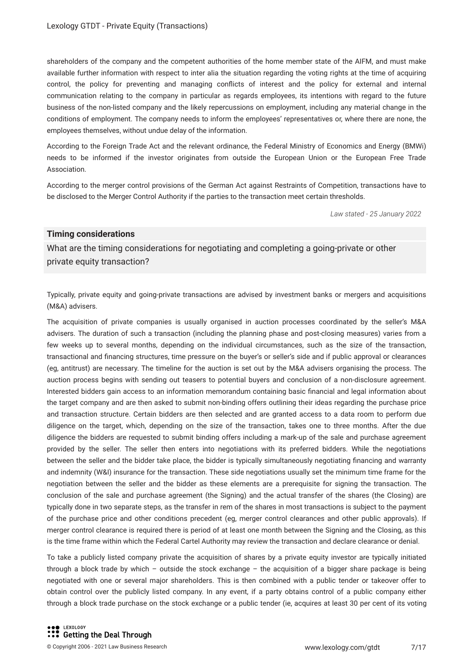shareholders of the company and the competent authorities of the home member state of the AIFM, and must make available further information with respect to inter alia the situation regarding the voting rights at the time of acquiring control, the policy for preventing and managing conflicts of interest and the policy for external and internal communication relating to the company in particular as regards employees, its intentions with regard to the future business of the non-listed company and the likely repercussions on employment, including any material change in the conditions of employment. The company needs to inform the employees' representatives or, where there are none, the employees themselves, without undue delay of the information.

According to the Foreign Trade Act and the relevant ordinance, the Federal Ministry of Economics and Energy (BMWi) needs to be informed if the investor originates from outside the European Union or the European Free Trade Association.

According to the merger control provisions of the German Act against Restraints of Competition, transactions have to be disclosed to the Merger Control Authority if the parties to the transaction meet certain thresholds.

*Law stated - 25 January 2022*

#### **Timing considerations**

What are the timing considerations for negotiating and completing a going-private or other private equity transaction?

Typically, private equity and going-private transactions are advised by investment banks or mergers and acquisitions (M&A) advisers.

The acquisition of private companies is usually organised in auction processes coordinated by the seller's M&A advisers. The duration of such a transaction (including the planning phase and post-closing measures) varies from a few weeks up to several months, depending on the individual circumstances, such as the size of the transaction, transactional and financing structures, time pressure on the buyer's or seller's side and if public approval or clearances (eg, antitrust) are necessary. The timeline for the auction is set out by the M&A advisers organising the process. The auction process begins with sending out teasers to potential buyers and conclusion of a non-disclosure agreement. Interested bidders gain access to an information memorandum containing basic financial and legal information about the target company and are then asked to submit non-binding offers outlining their ideas regarding the purchase price and transaction structure. Certain bidders are then selected and are granted access to a data room to perform due diligence on the target, which, depending on the size of the transaction, takes one to three months. After the due diligence the bidders are requested to submit binding offers including a mark-up of the sale and purchase agreement provided by the seller. The seller then enters into negotiations with its preferred bidders. While the negotiations between the seller and the bidder take place, the bidder is typically simultaneously negotiating financing and warranty and indemnity (W&I) insurance for the transaction. These side negotiations usually set the minimum time frame for the negotiation between the seller and the bidder as these elements are a prerequisite for signing the transaction. The conclusion of the sale and purchase agreement (the Signing) and the actual transfer of the shares (the Closing) are typically done in two separate steps, as the transfer in rem of the shares in most transactions is subject to the payment of the purchase price and other conditions precedent (eg, merger control clearances and other public approvals). If merger control clearance is required there is period of at least one month between the Signing and the Closing, as this is the time frame within which the Federal Cartel Authority may review the transaction and declare clearance or denial.

To take a publicly listed company private the acquisition of shares by a private equity investor are typically initiated through a block trade by which – outside the stock exchange – the acquisition of a bigger share package is being negotiated with one or several major shareholders. This is then combined with a public tender or takeover offer to obtain control over the publicly listed company. In any event, if a party obtains control of a public company either through a block trade purchase on the stock exchange or a public tender (ie, acquires at least 30 per cent of its voting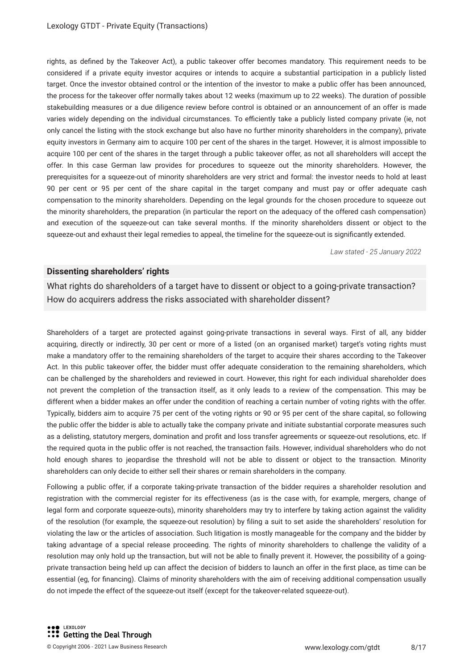rights, as defined by the Takeover Act), a public takeover offer becomes mandatory. This requirement needs to be considered if a private equity investor acquires or intends to acquire a substantial participation in a publicly listed target. Once the investor obtained control or the intention of the investor to make a public offer has been announced, the process for the takeover offer normally takes about 12 weeks (maximum up to 22 weeks). The duration of possible stakebuilding measures or a due diligence review before control is obtained or an announcement of an offer is made varies widely depending on the individual circumstances. To efficiently take a publicly listed company private (ie, not only cancel the listing with the stock exchange but also have no further minority shareholders in the company), private equity investors in Germany aim to acquire 100 per cent of the shares in the target. However, it is almost impossible to acquire 100 per cent of the shares in the target through a public takeover offer, as not all shareholders will accept the offer. In this case German law provides for procedures to squeeze out the minority shareholders. However, the prerequisites for a squeeze-out of minority shareholders are very strict and formal: the investor needs to hold at least 90 per cent or 95 per cent of the share capital in the target company and must pay or offer adequate cash compensation to the minority shareholders. Depending on the legal grounds for the chosen procedure to squeeze out the minority shareholders, the preparation (in particular the report on the adequacy of the offered cash compensation) and execution of the squeeze-out can take several months. If the minority shareholders dissent or object to the squeeze-out and exhaust their legal remedies to appeal, the timeline for the squeeze-out is significantly extended.

*Law stated - 25 January 2022*

#### **Dissenting shareholders' rights**

What rights do shareholders of a target have to dissent or object to a going-private transaction? How do acquirers address the risks associated with shareholder dissent?

Shareholders of a target are protected against going-private transactions in several ways. First of all, any bidder acquiring, directly or indirectly, 30 per cent or more of a listed (on an organised market) target's voting rights must make a mandatory offer to the remaining shareholders of the target to acquire their shares according to the Takeover Act. In this public takeover offer, the bidder must offer adequate consideration to the remaining shareholders, which can be challenged by the shareholders and reviewed in court. However, this right for each individual shareholder does not prevent the completion of the transaction itself, as it only leads to a review of the compensation. This may be different when a bidder makes an offer under the condition of reaching a certain number of voting rights with the offer. Typically, bidders aim to acquire 75 per cent of the voting rights or 90 or 95 per cent of the share capital, so following the public offer the bidder is able to actually take the company private and initiate substantial corporate measures such as a delisting, statutory mergers, domination and profit and loss transfer agreements or squeeze-out resolutions, etc. If the required quota in the public offer is not reached, the transaction fails. However, individual shareholders who do not hold enough shares to jeopardise the threshold will not be able to dissent or object to the transaction. Minority shareholders can only decide to either sell their shares or remain shareholders in the company.

Following a public offer, if a corporate taking-private transaction of the bidder requires a shareholder resolution and registration with the commercial register for its effectiveness (as is the case with, for example, mergers, change of legal form and corporate squeeze-outs), minority shareholders may try to interfere by taking action against the validity of the resolution (for example, the squeeze-out resolution) by filing a suit to set aside the shareholders' resolution for violating the law or the articles of association. Such litigation is mostly manageable for the company and the bidder by taking advantage of a special release proceeding. The rights of minority shareholders to challenge the validity of a resolution may only hold up the transaction, but will not be able to finally prevent it. However, the possibility of a goingprivate transaction being held up can affect the decision of bidders to launch an offer in the first place, as time can be essential (eg, for financing). Claims of minority shareholders with the aim of receiving additional compensation usually do not impede the effect of the squeeze-out itself (except for the takeover-related squeeze-out).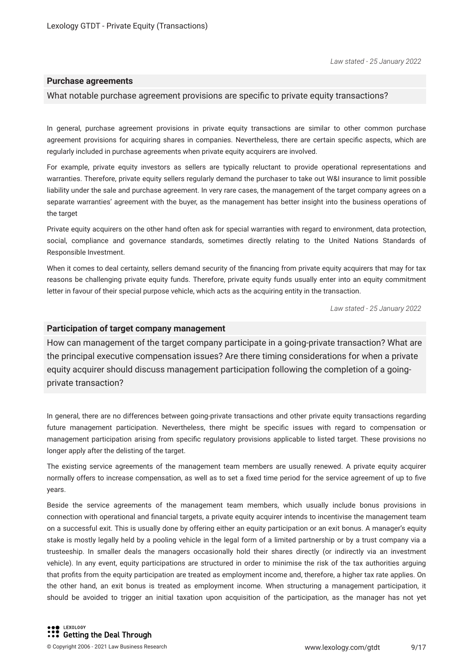#### **Purchase agreements**

#### What notable purchase agreement provisions are specific to private equity transactions?

In general, purchase agreement provisions in private equity transactions are similar to other common purchase agreement provisions for acquiring shares in companies. Nevertheless, there are certain specific aspects, which are regularly included in purchase agreements when private equity acquirers are involved.

For example, private equity investors as sellers are typically reluctant to provide operational representations and warranties. Therefore, private equity sellers regularly demand the purchaser to take out W&I insurance to limit possible liability under the sale and purchase agreement. In very rare cases, the management of the target company agrees on a separate warranties' agreement with the buyer, as the management has better insight into the business operations of the target

Private equity acquirers on the other hand often ask for special warranties with regard to environment, data protection, social, compliance and governance standards, sometimes directly relating to the United Nations Standards of Responsible Investment.

When it comes to deal certainty, sellers demand security of the financing from private equity acquirers that may for tax reasons be challenging private equity funds. Therefore, private equity funds usually enter into an equity commitment letter in favour of their special purpose vehicle, which acts as the acquiring entity in the transaction.

*Law stated - 25 January 2022*

#### **Participation of target company management**

How can management of the target company participate in a going-private transaction? What are the principal executive compensation issues? Are there timing considerations for when a private equity acquirer should discuss management participation following the completion of a goingprivate transaction?

In general, there are no differences between going-private transactions and other private equity transactions regarding future management participation. Nevertheless, there might be specific issues with regard to compensation or management participation arising from specific regulatory provisions applicable to listed target. These provisions no longer apply after the delisting of the target.

The existing service agreements of the management team members are usually renewed. A private equity acquirer normally offers to increase compensation, as well as to set a fixed time period for the service agreement of up to five years.

Beside the service agreements of the management team members, which usually include bonus provisions in connection with operational and financial targets, a private equity acquirer intends to incentivise the management team on a successful exit. This is usually done by offering either an equity participation or an exit bonus. A manager's equity stake is mostly legally held by a pooling vehicle in the legal form of a limited partnership or by a trust company via a trusteeship. In smaller deals the managers occasionally hold their shares directly (or indirectly via an investment vehicle). In any event, equity participations are structured in order to minimise the risk of the tax authorities arguing that profits from the equity participation are treated as employment income and, therefore, a higher tax rate applies. On the other hand, an exit bonus is treated as employment income. When structuring a management participation, it should be avoided to trigger an initial taxation upon acquisition of the participation, as the manager has not yet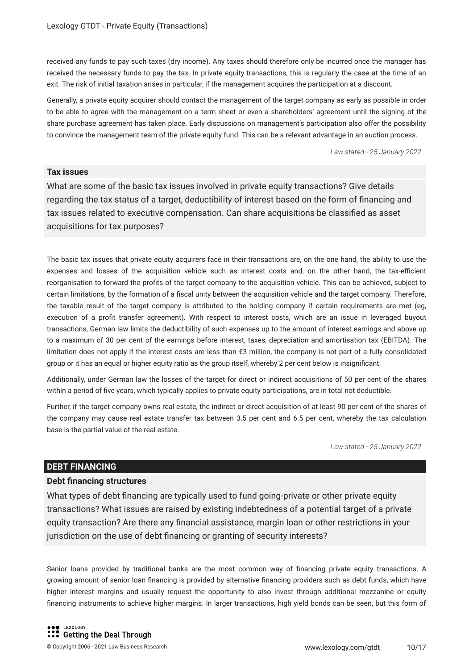received any funds to pay such taxes (dry income). Any taxes should therefore only be incurred once the manager has received the necessary funds to pay the tax. In private equity transactions, this is regularly the case at the time of an exit. The risk of initial taxation arises in particular, if the management acquires the participation at a discount.

Generally, a private equity acquirer should contact the management of the target company as early as possible in order to be able to agree with the management on a term sheet or even a shareholders' agreement until the signing of the share purchase agreement has taken place. Early discussions on management's participation also offer the possibility to convince the management team of the private equity fund. This can be a relevant advantage in an auction process.

*Law stated - 25 January 2022*

#### **Tax issues**

What are some of the basic tax issues involved in private equity transactions? Give details regarding the tax status of a target, deductibility of interest based on the form of financing and tax issues related to executive compensation. Can share acquisitions be classified as asset acquisitions for tax purposes?

The basic tax issues that private equity acquirers face in their transactions are, on the one hand, the ability to use the expenses and losses of the acquisition vehicle such as interest costs and, on the other hand, the tax-efficient reorganisation to forward the profits of the target company to the acquisition vehicle. This can be achieved, subject to certain limitations, by the formation of a fiscal unity between the acquisition vehicle and the target company. Therefore, the taxable result of the target company is attributed to the holding company if certain requirements are met (eg, execution of a profit transfer agreement). With respect to interest costs, which are an issue in leveraged buyout transactions, German law limits the deductibility of such expenses up to the amount of interest earnings and above up to a maximum of 30 per cent of the earnings before interest, taxes, depreciation and amortisation tax (EBITDA). The limitation does not apply if the interest costs are less than €3 million, the company is not part of a fully consolidated group or it has an equal or higher equity ratio as the group itself, whereby 2 per cent below is insignificant.

Additionally, under German law the losses of the target for direct or indirect acquisitions of 50 per cent of the shares within a period of five years, which typically applies to private equity participations, are in total not deductible.

Further, if the target company owns real estate, the indirect or direct acquisition of at least 90 per cent of the shares of the company may cause real estate transfer tax between 3.5 per cent and 6.5 per cent, whereby the tax calculation base is the partial value of the real estate.

*Law stated - 25 January 2022*

#### **DEBT FINANCING**

#### **Debt financing structures**

What types of debt financing are typically used to fund going-private or other private equity transactions? What issues are raised by existing indebtedness of a potential target of a private equity transaction? Are there any financial assistance, margin loan or other restrictions in your jurisdiction on the use of debt financing or granting of security interests?

Senior loans provided by traditional banks are the most common way of financing private equity transactions. A growing amount of senior loan financing is provided by alternative financing providers such as debt funds, which have higher interest margins and usually request the opportunity to also invest through additional mezzanine or equity financing instruments to achieve higher margins. In larger transactions, high yield bonds can be seen, but this form of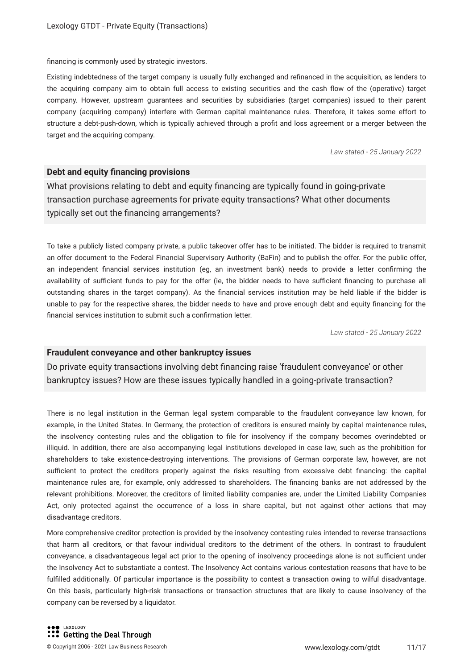financing is commonly used by strategic investors.

Existing indebtedness of the target company is usually fully exchanged and refinanced in the acquisition, as lenders to the acquiring company aim to obtain full access to existing securities and the cash flow of the (operative) target company. However, upstream guarantees and securities by subsidiaries (target companies) issued to their parent company (acquiring company) interfere with German capital maintenance rules. Therefore, it takes some effort to structure a debt-push-down, which is typically achieved through a profit and loss agreement or a merger between the target and the acquiring company.

*Law stated - 25 January 2022*

#### **Debt and equity financing provisions**

What provisions relating to debt and equity financing are typically found in going-private transaction purchase agreements for private equity transactions? What other documents typically set out the financing arrangements?

To take a publicly listed company private, a public takeover offer has to be initiated. The bidder is required to transmit an offer document to the Federal Financial Supervisory Authority (BaFin) and to publish the offer. For the public offer, an independent financial services institution (eg, an investment bank) needs to provide a letter confirming the availability of sufficient funds to pay for the offer (ie, the bidder needs to have sufficient financing to purchase all outstanding shares in the target company). As the financial services institution may be held liable if the bidder is unable to pay for the respective shares, the bidder needs to have and prove enough debt and equity financing for the financial services institution to submit such a confirmation letter.

*Law stated - 25 January 2022*

#### **Fraudulent conveyance and other bankruptcy issues**

Do private equity transactions involving debt financing raise 'fraudulent conveyance' or other bankruptcy issues? How are these issues typically handled in a going-private transaction?

There is no legal institution in the German legal system comparable to the fraudulent conveyance law known, for example, in the United States. In Germany, the protection of creditors is ensured mainly by capital maintenance rules, the insolvency contesting rules and the obligation to file for insolvency if the company becomes overindebted or illiquid. In addition, there are also accompanying legal institutions developed in case law, such as the prohibition for shareholders to take existence-destroying interventions. The provisions of German corporate law, however, are not sufficient to protect the creditors properly against the risks resulting from excessive debt financing: the capital maintenance rules are, for example, only addressed to shareholders. The financing banks are not addressed by the relevant prohibitions. Moreover, the creditors of limited liability companies are, under the Limited Liability Companies Act, only protected against the occurrence of a loss in share capital, but not against other actions that may disadvantage creditors.

More comprehensive creditor protection is provided by the insolvency contesting rules intended to reverse transactions that harm all creditors, or that favour individual creditors to the detriment of the others. In contrast to fraudulent conveyance, a disadvantageous legal act prior to the opening of insolvency proceedings alone is not sufficient under the Insolvency Act to substantiate a contest. The Insolvency Act contains various contestation reasons that have to be fulfilled additionally. Of particular importance is the possibility to contest a transaction owing to wilful disadvantage. On this basis, particularly high-risk transactions or transaction structures that are likely to cause insolvency of the company can be reversed by a liquidator.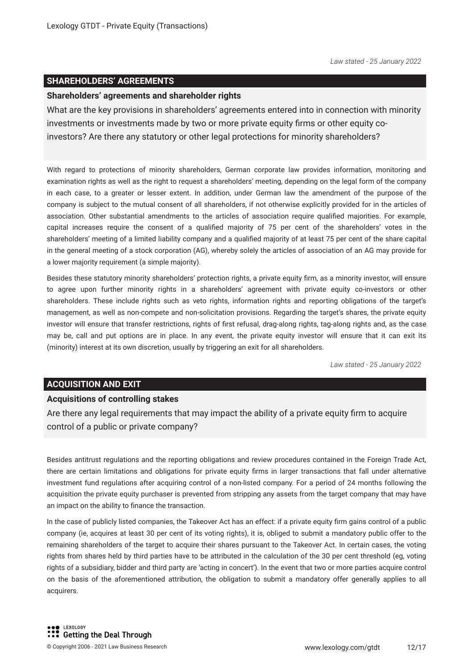#### **SHAREHOLDERS' AGREEMENTS**

#### **Shareholders' agreements and shareholder rights**

What are the key provisions in shareholders' agreements entered into in connection with minority investments or investments made by two or more private equity firms or other equity coinvestors? Are there any statutory or other legal protections for minority shareholders?

With regard to protections of minority shareholders, German corporate law provides information, monitoring and examination rights as well as the right to request a shareholders' meeting, depending on the legal form of the company in each case, to a greater or lesser extent. In addition, under German law the amendment of the purpose of the company is subject to the mutual consent of all shareholders, if not otherwise explicitly provided for in the articles of association. Other substantial amendments to the articles of association require qualified majorities. For example, capital increases require the consent of a qualified majority of 75 per cent of the shareholders' votes in the shareholders' meeting of a limited liability company and a qualified majority of at least 75 per cent of the share capital in the general meeting of a stock corporation (AG), whereby solely the articles of association of an AG may provide for a lower majority requirement (a simple majority).

Besides these statutory minority shareholders' protection rights, a private equity firm, as a minority investor, will ensure to agree upon further minority rights in a shareholders' agreement with private equity co-investors or other shareholders. These include rights such as veto rights, information rights and reporting obligations of the target's management, as well as non-compete and non-solicitation provisions. Regarding the target's shares, the private equity investor will ensure that transfer restrictions, rights of first refusal, drag-along rights, tag-along rights and, as the case may be, call and put options are in place. In any event, the private equity investor will ensure that it can exit its (minority) interest at its own discretion, usually by triggering an exit for all shareholders.

*Law stated - 25 January 2022*

#### **ACQUISITION AND EXIT**

#### **Acquisitions of controlling stakes**

Are there any legal requirements that may impact the ability of a private equity firm to acquire control of a public or private company?

Besides antitrust regulations and the reporting obligations and review procedures contained in the Foreign Trade Act, there are certain limitations and obligations for private equity firms in larger transactions that fall under alternative investment fund regulations after acquiring control of a non-listed company. For a period of 24 months following the acquisition the private equity purchaser is prevented from stripping any assets from the target company that may have an impact on the ability to finance the transaction.

In the case of publicly listed companies, the Takeover Act has an effect: if a private equity firm gains control of a public company (ie, acquires at least 30 per cent of its voting rights), it is, obliged to submit a mandatory public offer to the remaining shareholders of the target to acquire their shares pursuant to the Takeover Act. In certain cases, the voting rights from shares held by third parties have to be attributed in the calculation of the 30 per cent threshold (eg, voting rights of a subsidiary, bidder and third party are 'acting in concert'). In the event that two or more parties acquire control on the basis of the aforementioned attribution, the obligation to submit a mandatory offer generally applies to all acquirers.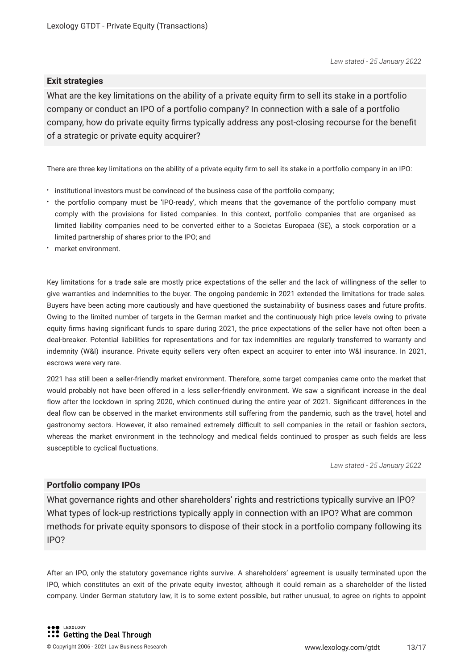#### **Exit strategies**

What are the key limitations on the ability of a private equity firm to sell its stake in a portfolio company or conduct an IPO of a portfolio company? In connection with a sale of a portfolio company, how do private equity firms typically address any post-closing recourse for the benefit of a strategic or private equity acquirer?

There are three key limitations on the ability of a private equity firm to sell its stake in a portfolio company in an IPO:

- $\cdot$  institutional investors must be convinced of the business case of the portfolio company;
- the portfolio company must be 'IPO-ready', which means that the governance of the portfolio company must comply with the provisions for listed companies. In this context, portfolio companies that are organised as limited liability companies need to be converted either to a Societas Europaea (SE), a stock corporation or a limited partnership of shares prior to the IPO; and
- market environment.

Key limitations for a trade sale are mostly price expectations of the seller and the lack of willingness of the seller to give warranties and indemnities to the buyer. The ongoing pandemic in 2021 extended the limitations for trade sales. Buyers have been acting more cautiously and have questioned the sustainability of business cases and future profits. Owing to the limited number of targets in the German market and the continuously high price levels owing to private equity firms having significant funds to spare during 2021, the price expectations of the seller have not often been a deal-breaker. Potential liabilities for representations and for tax indemnities are regularly transferred to warranty and indemnity (W&I) insurance. Private equity sellers very often expect an acquirer to enter into W&I insurance. In 2021, escrows were very rare.

2021 has still been a seller-friendly market environment. Therefore, some target companies came onto the market that would probably not have been offered in a less seller-friendly environment. We saw a significant increase in the deal flow after the lockdown in spring 2020, which continued during the entire year of 2021. Significant differences in the deal flow can be observed in the market environments still suffering from the pandemic, such as the travel, hotel and gastronomy sectors. However, it also remained extremely difficult to sell companies in the retail or fashion sectors, whereas the market environment in the technology and medical fields continued to prosper as such fields are less susceptible to cyclical fluctuations.

*Law stated - 25 January 2022*

#### **Portfolio company IPOs**

What governance rights and other shareholders' rights and restrictions typically survive an IPO? What types of lock-up restrictions typically apply in connection with an IPO? What are common methods for private equity sponsors to dispose of their stock in a portfolio company following its IPO?

After an IPO, only the statutory governance rights survive. A shareholders' agreement is usually terminated upon the IPO, which constitutes an exit of the private equity investor, although it could remain as a shareholder of the listed company. Under German statutory law, it is to some extent possible, but rather unusual, to agree on rights to appoint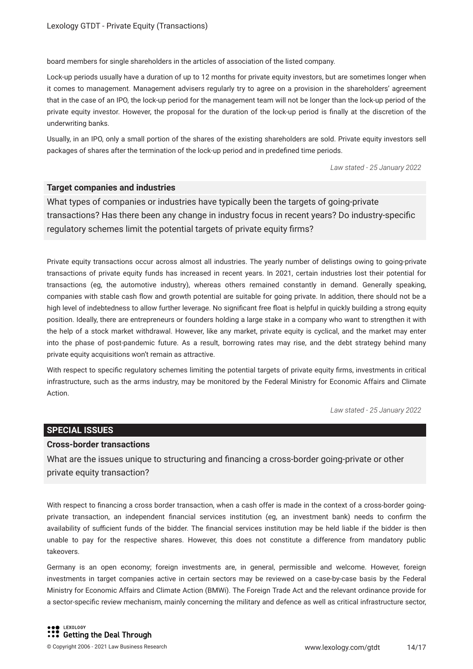board members for single shareholders in the articles of association of the listed company.

Lock-up periods usually have a duration of up to 12 months for private equity investors, but are sometimes longer when it comes to management. Management advisers regularly try to agree on a provision in the shareholders' agreement that in the case of an IPO, the lock-up period for the management team will not be longer than the lock-up period of the private equity investor. However, the proposal for the duration of the lock-up period is finally at the discretion of the underwriting banks.

Usually, in an IPO, only a small portion of the shares of the existing shareholders are sold. Private equity investors sell packages of shares after the termination of the lock-up period and in predefined time periods.

*Law stated - 25 January 2022*

#### **Target companies and industries**

What types of companies or industries have typically been the targets of going-private transactions? Has there been any change in industry focus in recent years? Do industry-specific regulatory schemes limit the potential targets of private equity firms?

Private equity transactions occur across almost all industries. The yearly number of delistings owing to going-private transactions of private equity funds has increased in recent years. In 2021, certain industries lost their potential for transactions (eg, the automotive industry), whereas others remained constantly in demand. Generally speaking, companies with stable cash flow and growth potential are suitable for going private. In addition, there should not be a high level of indebtedness to allow further leverage. No significant free float is helpful in quickly building a strong equity position. Ideally, there are entrepreneurs or founders holding a large stake in a company who want to strengthen it with the help of a stock market withdrawal. However, like any market, private equity is cyclical, and the market may enter into the phase of post-pandemic future. As a result, borrowing rates may rise, and the debt strategy behind many private equity acquisitions won't remain as attractive.

With respect to specific regulatory schemes limiting the potential targets of private equity firms, investments in critical infrastructure, such as the arms industry, may be monitored by the Federal Ministry for Economic Affairs and Climate Action.

*Law stated - 25 January 2022*

#### **SPECIAL ISSUES**

#### **Cross-border transactions**

What are the issues unique to structuring and financing a cross-border going-private or other private equity transaction?

With respect to financing a cross border transaction, when a cash offer is made in the context of a cross-border goingprivate transaction, an independent financial services institution (eg, an investment bank) needs to confirm the availability of sufficient funds of the bidder. The financial services institution may be held liable if the bidder is then unable to pay for the respective shares. However, this does not constitute a difference from mandatory public takeovers.

Germany is an open economy; foreign investments are, in general, permissible and welcome. However, foreign investments in target companies active in certain sectors may be reviewed on a case-by-case basis by the Federal Ministry for Economic Affairs and Climate Action (BMWi). The Foreign Trade Act and the relevant ordinance provide for a sector-specific review mechanism, mainly concerning the military and defence as well as critical infrastructure sector,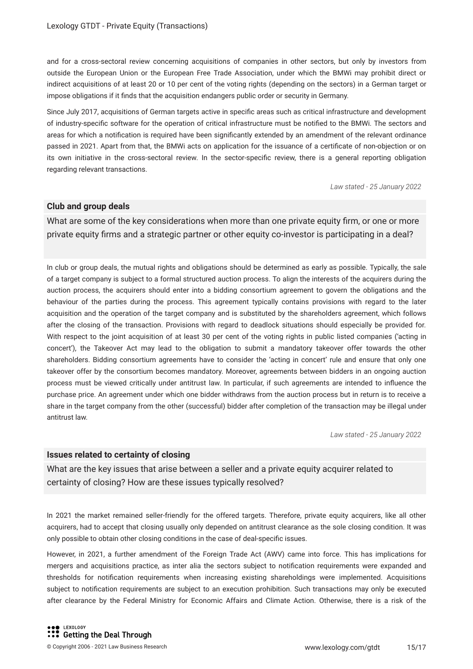and for a cross-sectoral review concerning acquisitions of companies in other sectors, but only by investors from outside the European Union or the European Free Trade Association, under which the BMWi may prohibit direct or indirect acquisitions of at least 20 or 10 per cent of the voting rights (depending on the sectors) in a German target or impose obligations if it finds that the acquisition endangers public order or security in Germany.

Since July 2017, acquisitions of German targets active in specific areas such as critical infrastructure and development of industry-specific software for the operation of critical infrastructure must be notified to the BMWi. The sectors and areas for which a notification is required have been significantly extended by an amendment of the relevant ordinance passed in 2021. Apart from that, the BMWi acts on application for the issuance of a certificate of non-objection or on its own initiative in the cross-sectoral review. In the sector-specific review, there is a general reporting obligation regarding relevant transactions.

*Law stated - 25 January 2022*

#### **Club and group deals**

What are some of the key considerations when more than one private equity firm, or one or more private equity firms and a strategic partner or other equity co-investor is participating in a deal?

In club or group deals, the mutual rights and obligations should be determined as early as possible. Typically, the sale of a target company is subject to a formal structured auction process. To align the interests of the acquirers during the auction process, the acquirers should enter into a bidding consortium agreement to govern the obligations and the behaviour of the parties during the process. This agreement typically contains provisions with regard to the later acquisition and the operation of the target company and is substituted by the shareholders agreement, which follows after the closing of the transaction. Provisions with regard to deadlock situations should especially be provided for. With respect to the joint acquisition of at least 30 per cent of the voting rights in public listed companies ('acting in concert'), the Takeover Act may lead to the obligation to submit a mandatory takeover offer towards the other shareholders. Bidding consortium agreements have to consider the 'acting in concert' rule and ensure that only one takeover offer by the consortium becomes mandatory. Moreover, agreements between bidders in an ongoing auction process must be viewed critically under antitrust law. In particular, if such agreements are intended to influence the purchase price. An agreement under which one bidder withdraws from the auction process but in return is to receive a share in the target company from the other (successful) bidder after completion of the transaction may be illegal under antitrust law.

*Law stated - 25 January 2022*

#### **Issues related to certainty of closing**

What are the key issues that arise between a seller and a private equity acquirer related to certainty of closing? How are these issues typically resolved?

In 2021 the market remained seller-friendly for the offered targets. Therefore, private equity acquirers, like all other acquirers, had to accept that closing usually only depended on antitrust clearance as the sole closing condition. It was only possible to obtain other closing conditions in the case of deal-specific issues.

However, in 2021, a further amendment of the Foreign Trade Act (AWV) came into force. This has implications for mergers and acquisitions practice, as inter alia the sectors subject to notification requirements were expanded and thresholds for notification requirements when increasing existing shareholdings were implemented. Acquisitions subject to notification requirements are subject to an execution prohibition. Such transactions may only be executed after clearance by the Federal Ministry for Economic Affairs and Climate Action. Otherwise, there is a risk of the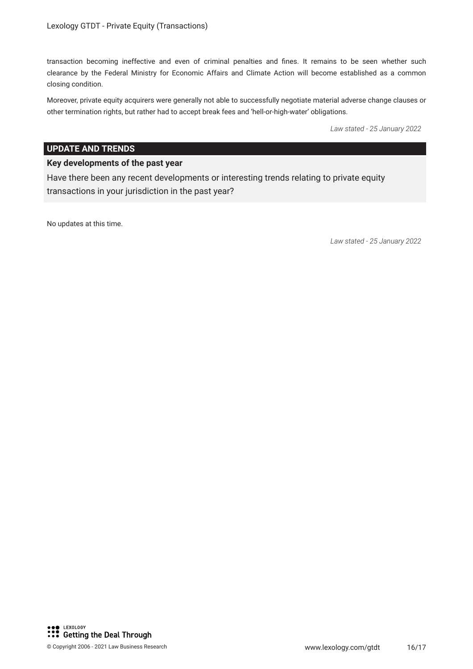transaction becoming ineffective and even of criminal penalties and fines. It remains to be seen whether such clearance by the Federal Ministry for Economic Affairs and Climate Action will become established as a common closing condition.

Moreover, private equity acquirers were generally not able to successfully negotiate material adverse change clauses or other termination rights, but rather had to accept break fees and 'hell-or-high-water' obligations.

*Law stated - 25 January 2022*

#### **UPDATE AND TRENDS**

#### **Key developments of the past year**

Have there been any recent developments or interesting trends relating to private equity transactions in your jurisdiction in the past year?

No updates at this time.

*Law stated - 25 January 2022*